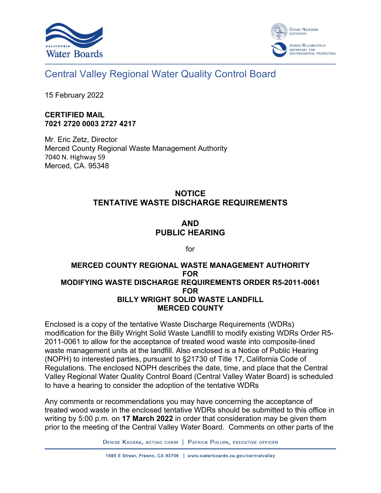



# Central Valley Regional Water Quality Control Board

15 February 2022

#### **CERTIFIED MAIL 7021 2720 0003 2727 4217**

Mr. Eric Zetz, Director Merced County Regional Waste Management Authority 7040 N. Highway 59 Merced, CA. 95348

### **NOTICE TENTATIVE WASTE DISCHARGE REQUIREMENTS**

## **AND PUBLIC HEARING**

for

#### **MERCED COUNTY REGIONAL WASTE MANAGEMENT AUTHORITY FOR MODIFYING WASTE DISCHARGE REQUIREMENTS ORDER R5-2011-0061 FOR BILLY WRIGHT SOLID WASTE LANDFILL MERCED COUNTY**

Enclosed is a copy of the tentative Waste Discharge Requirements (WDRs) modification for the Billy Wright Solid Waste Landfill to modify existing WDRs Order R5- 2011-0061 to allow for the acceptance of treated wood waste into composite-lined waste management units at the landfill. Also enclosed is a Notice of Public Hearing (NOPH) to interested parties, pursuant to §21730 of Title 17, California Code of Regulations. The enclosed NOPH describes the date, time, and place that the Central Valley Regional Water Quality Control Board (Central Valley Water Board) is scheduled to have a hearing to consider the adoption of the tentative WDRs

Any comments or recommendations you may have concerning the acceptance of treated wood waste in the enclosed tentative WDRs should be submitted to this office in writing by 5:00 p.m. on **17 March 2022** in order that consideration may be given them prior to the meeting of the Central Valley Water Board. Comments on other parts of the

DENISE KADARA, ACTING CHAIR | PATRICK PULUPA, EXECUTIVE OFFICER